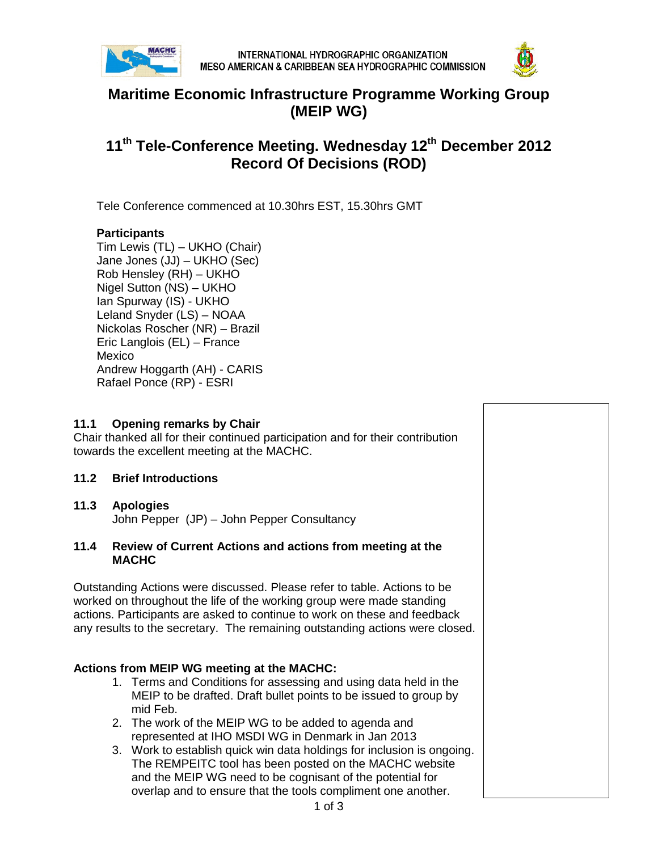



## **Maritime Economic Infrastructure Programme Working Group (MEIP WG)**

# **11th Tele-Conference Meeting. Wednesday 12th December 2012 Record Of Decisions (ROD)**

Tele Conference commenced at 10.30hrs EST, 15.30hrs GMT

### **Participants**

Tim Lewis (TL) – UKHO (Chair) Jane Jones (JJ) – UKHO (Sec) Rob Hensley (RH) – UKHO Nigel Sutton (NS) – UKHO Ian Spurway (IS) - UKHO Leland Snyder (LS) – NOAA Nickolas Roscher (NR) – Brazil Eric Langlois (EL) – France Mexico Andrew Hoggarth (AH) - CARIS Rafael Ponce (RP) - ESRI

#### **11.1 Opening remarks by Chair**

Chair thanked all for their continued participation and for their contribution towards the excellent meeting at the MACHC.

#### **11.2 Brief Introductions**

#### **11.3 Apologies**

John Pepper (JP) – John Pepper Consultancy

#### **11.4 Review of Current Actions and actions from meeting at the MACHC**

Outstanding Actions were discussed. Please refer to table. Actions to be worked on throughout the life of the working group were made standing actions. Participants are asked to continue to work on these and feedback any results to the secretary. The remaining outstanding actions were closed.

#### **Actions from MEIP WG meeting at the MACHC:**

- 1. Terms and Conditions for assessing and using data held in the MEIP to be drafted. Draft bullet points to be issued to group by mid Feb.
- 2. The work of the MEIP WG to be added to agenda and represented at IHO MSDI WG in Denmark in Jan 2013
- 3. Work to establish quick win data holdings for inclusion is ongoing. The REMPEITC tool has been posted on the MACHC website and the MEIP WG need to be cognisant of the potential for overlap and to ensure that the tools compliment one another.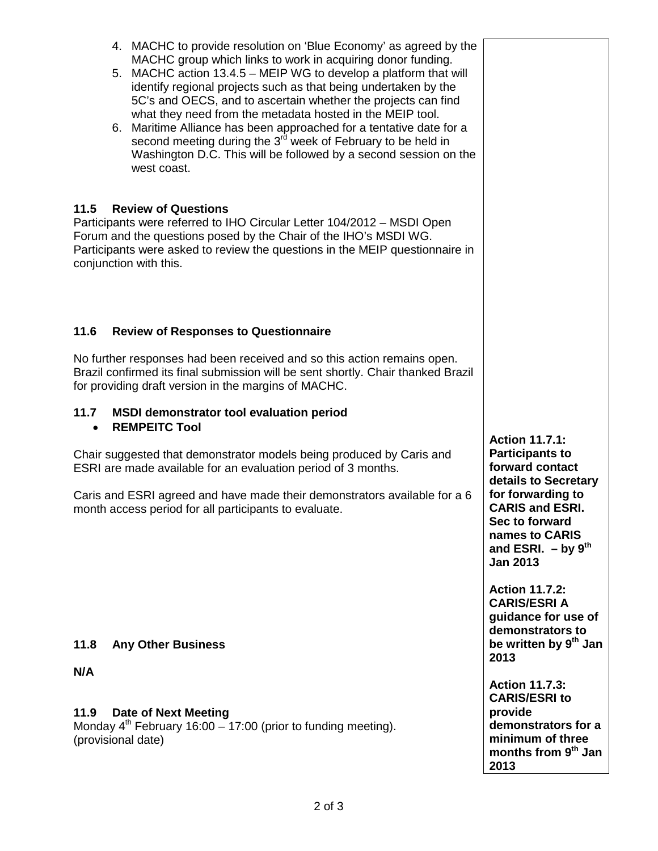- 4. MACHC to provide resolution on 'Blue Economy' as agreed by the MACHC group which links to work in acquiring donor funding.
- 5. MACHC action 13.4.5 MEIP WG to develop a platform that will identify regional projects such as that being undertaken by the 5C's and OECS, and to ascertain whether the projects can find what they need from the metadata hosted in the MEIP tool.
- 6. Maritime Alliance has been approached for a tentative date for a second meeting during the  $3^{rd}$  week of February to be held in Washington D.C. This will be followed by a second session on the west coast.

## **11.5 Review of Questions**

Participants were referred to IHO Circular Letter 104/2012 – MSDI Open Forum and the questions posed by the Chair of the IHO's MSDI WG. Participants were asked to review the questions in the MEIP questionnaire in conjunction with this.

## **11.6 Review of Responses to Questionnaire**

No further responses had been received and so this action remains open. Brazil confirmed its final submission will be sent shortly. Chair thanked Brazil for providing draft version in the margins of MACHC.

## **11.7 MSDI demonstrator tool evaluation period**

• **REMPEITC Tool**

Chair suggested that demonstrator models being produced by Caris and ESRI are made available for an evaluation period of 3 months.

Caris and ESRI agreed and have made their demonstrators available for a 6 month access period for all participants to evaluate.

## **11.8 Any Other Business**

## **N/A**

## **11.9 Date of Next Meeting**

Monday  $4^{th}$  February 16:00 – 17:00 (prior to funding meeting). (provisional date)

**Action 11.7.1: Participants to forward contact details to Secretary for forwarding to CARIS and ESRI. Sec to forward names to CARIS and ESRI. – by 9th Jan 2013**

**Action 11.7.2: CARIS/ESRI A guidance for use of demonstrators to be written by 9th Jan 2013** 

**Action 11.7.3: CARIS/ESRI to provide demonstrators for a minimum of three months from 9th Jan 2013**